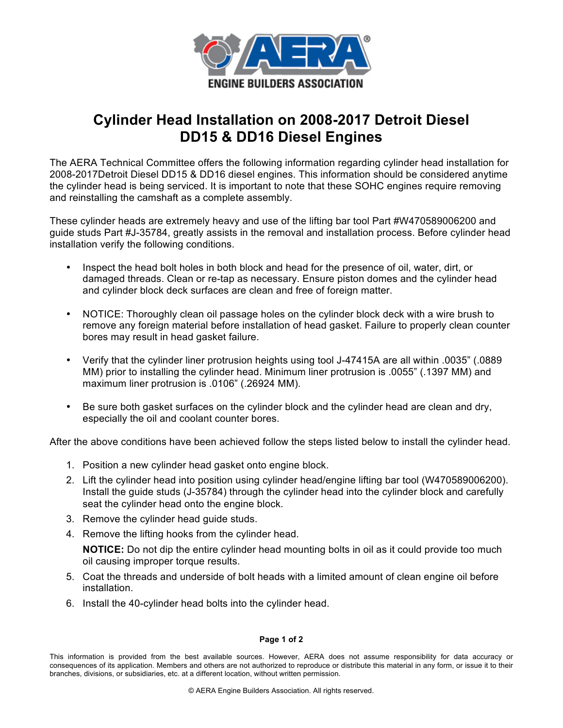

## **Cylinder Head Installation on 2008-2017 Detroit Diesel DD15 & DD16 Diesel Engines**

The AERA Technical Committee offers the following information regarding cylinder head installation for 2008-2017Detroit Diesel DD15 & DD16 diesel engines. This information should be considered anytime the cylinder head is being serviced. It is important to note that these SOHC engines require removing and reinstalling the camshaft as a complete assembly.

These cylinder heads are extremely heavy and use of the lifting bar tool Part #W470589006200 and guide studs Part #J-35784, greatly assists in the removal and installation process. Before cylinder head installation verify the following conditions.

- Inspect the head bolt holes in both block and head for the presence of oil, water, dirt, or damaged threads. Clean or re-tap as necessary. Ensure piston domes and the cylinder head and cylinder block deck surfaces are clean and free of foreign matter.
- NOTICE: Thoroughly clean oil passage holes on the cylinder block deck with a wire brush to remove any foreign material before installation of head gasket. Failure to properly clean counter bores may result in head gasket failure.
- Verify that the cylinder liner protrusion heights using tool J-47415A are all within .0035" (.0889 MM) prior to installing the cylinder head. Minimum liner protrusion is .0055" (.1397 MM) and maximum liner protrusion is .0106" (.26924 MM).
- Be sure both gasket surfaces on the cylinder block and the cylinder head are clean and dry, especially the oil and coolant counter bores.

After the above conditions have been achieved follow the steps listed below to install the cylinder head.

- 1. Position a new cylinder head gasket onto engine block.
- 2. Lift the cylinder head into position using cylinder head/engine lifting bar tool (W470589006200). Install the guide studs (J-35784) through the cylinder head into the cylinder block and carefully seat the cylinder head onto the engine block.
- 3. Remove the cylinder head guide studs.
- 4. Remove the lifting hooks from the cylinder head.

**NOTICE:** Do not dip the entire cylinder head mounting bolts in oil as it could provide too much oil causing improper torque results.

- 5. Coat the threads and underside of bolt heads with a limited amount of clean engine oil before installation.
- 6. Install the 40-cylinder head bolts into the cylinder head.

## **Page 1 of 2**

This information is provided from the best available sources. However, AERA does not assume responsibility for data accuracy or consequences of its application. Members and others are not authorized to reproduce or distribute this material in any form, or issue it to their branches, divisions, or subsidiaries, etc. at a different location, without written permission.